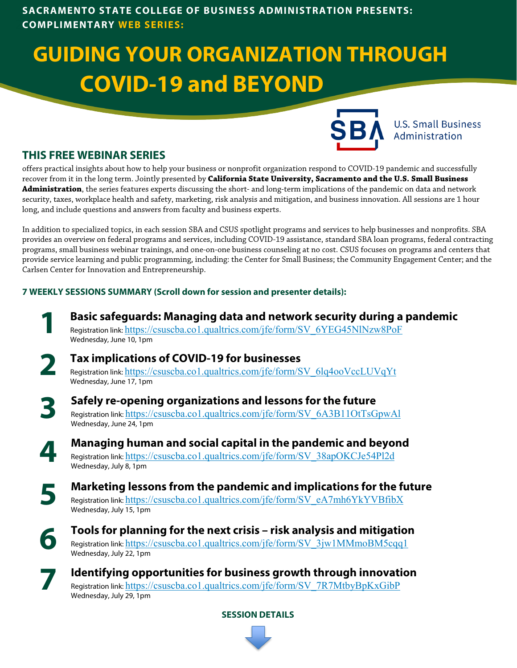# **GUIDING YOUR ORGANIZATION THROUGH COVID-19 and BEYOND**



**U.S. Small Business** Administration

# **THIS FREE WEBINAR SERIES**

offers practical insights about how to help your business or nonprofit organization respond to COVID-19 pandemic and successfully recover from it in the long term. Jointly presented by **California State University, Sacramento and the U.S. Small Business Administration**, the series features experts discussing the short- and long-term implications of the pandemic on data and network security, taxes, workplace health and safety, marketing, risk analysis and mitigation, and business innovation. All sessions are 1 hour long, and include questions and answers from faculty and business experts.

In addition to specialized topics, in each session SBA and CSUS spotlight programs and services to help businesses and nonprofits. SBA provides an overview on federal programs and services, including COVID-19 assistance, standard SBA loan programs, federal contracting programs, small business webinar trainings, and one-on-one business counseling at no cost. CSUS focuses on programs and centers that provide service learning and public programming, including: the Center for Small Business; the Community Engagement Center; and the Carlsen Center for Innovation and Entrepreneurship.

## **7 WEEKLY SESSIONS SUMMARY (Scroll down for session and presenter details):**

- **Basic safeguards: Managing data and network security during a pandemic** Registration link: [https://csuscba.co1.qualtrics.com/jfe/form/SV\\_6YEG45NlNzw8PoF](https://csuscba.co1.qualtrics.com/jfe/form/SV_6YEG45NlNzw8PoF) Wednesday, June 10, 1pm
- **2** Registration link: <u>[https://csuscba.co1.qualtrics.com/jfe/form/SV\\_6lq4ooVccLUVqYt](https://csuscba.co1.qualtrics.com/jfe/form/SV_6lq4ooVccLUVqYt)</u> **Tax implications of COVID-19 for businesses**  Wednesday, June 17, 1pm
- **3**

**1**

# **Safely re-opening organizations and lessons for the future**

Registration link: [https://csuscba.co1.qualtrics.com/jfe/form/SV\\_6A3B11OtTsGpwAl](https://csuscba.co1.qualtrics.com/jfe/form/SV_6A3B11OtTsGpwAl) Wednesday, June 24, 1pm

**Managing human and social capital in the pandemic and beyond** Registration link: [https://csuscba.co1.qualtrics.com/jfe/form/SV\\_38apOKCJe54Pl2d](https://csuscba.co1.qualtrics.com/jfe/form/SV_38apOKCJe54Pl2d) Wednesday, July 8, 1pm

**5**

**4**

**Marketing lessons from the pandemic and implications for the future** Registration link: [https://csuscba.co1.qualtrics.com/jfe/form/SV\\_eA7mh6YkYVBfibX](https://csuscba.co1.qualtrics.com/jfe/form/SV_eA7mh6YkYVBfibX) Wednesday, July 15, 1pm

**6**

**Tools for planning for the next crisis – risk analysis and mitigation** Registration link: [https://csuscba.co1.qualtrics.com/jfe/form/SV\\_3jw1MMmoBM5cqq1](https://csuscba.co1.qualtrics.com/jfe/form/SV_3jw1MMmoBM5cqq1) Wednesday, July 22, 1pm

**7 Identifying opportunities for business growth through innovation** Registration link: [https://csuscba.co1.qualtrics.com/jfe/form/SV\\_7R7MtbyBpKxGibP](https://csuscba.co1.qualtrics.com/jfe/form/SV_7R7MtbyBpKxGibP) Wednesday, July 29, 1pm

**SESSION DETAILS**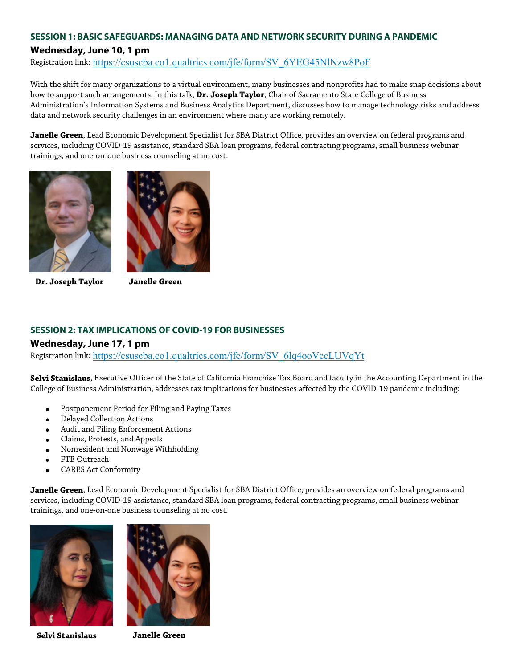# **SESSION 1: BASIC SAFEGUARDS: MANAGING DATA AND NETWORK SECURITY DURING A PANDEMIC**

#### **Wednesday, June 10, 1 pm**

Registration link: [https://csuscba.co1.qualtrics.com/jfe/form/SV\\_6YEG45NlNzw8PoF](https://csuscba.co1.qualtrics.com/jfe/form/SV_6YEG45NlNzw8PoF)

With the shift for many organizations to a virtual environment, many businesses and nonprofits had to make snap decisions about how to support such arrangements. In this talk, **Dr. Joseph Taylor**, Chair of Sacramento State College of Business Administration's Information Systems and Business Analytics Department, discusses how to manage technology risks and address data and network security challenges in an environment where many are working remotely.

**Janelle Green**, Lead Economic Development Specialist for SBA District Office, provides an overview on federal programs and services, including COVID-19 assistance, standard SBA loan programs, federal contracting programs, small business webinar trainings, and one-on-one business counseling at no cost.



**Dr. Joseph Taylor Janelle Green**



#### **SESSION 2: TAX IMPLICATIONS OF COVID-19 FOR BUSINESSES**

#### **Wednesday, June 17, 1 pm**

Registration link: [https://csuscba.co1.qualtrics.com/jfe/form/SV\\_6lq4ooVccLUVqYt](https://csuscba.co1.qualtrics.com/jfe/form/SV_6lq4ooVccLUVqYt)

**Selvi Stanislaus**, Executive Officer of the State of California Franchise Tax Board and faculty in the Accounting Department in the College of Business Administration, addresses tax implications for businesses affected by the COVID-19 pandemic including:

- Postponement Period for Filing and Paying Taxes
- Delayed Collection Actions
- Audit and Filing Enforcement Actions
- Claims, Protests, and Appeals
- Nonresident and Nonwage Withholding
- FTB Outreach
- CARES Act Conformity

**Janelle Green**, Lead Economic Development Specialist for SBA District Office, provides an overview on federal programs and services, including COVID-19 assistance, standard SBA loan programs, federal contracting programs, small business webinar trainings, and one-on-one business counseling at no cost.





**Selvi Stanislaus Janelle Green**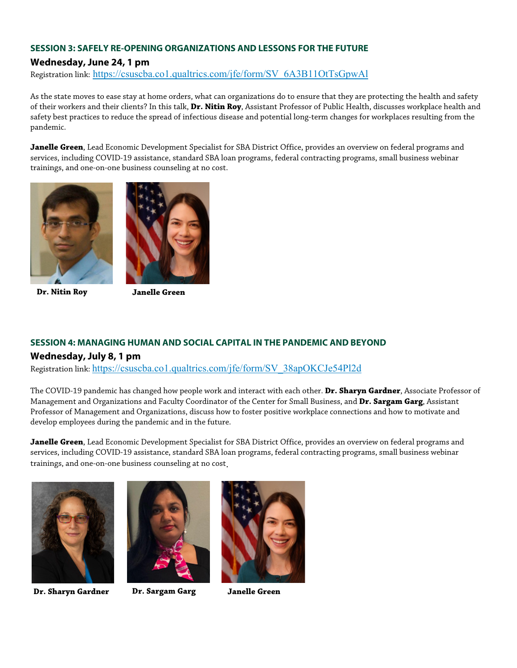#### **SESSION 3: SAFELY RE-OPENING ORGANIZATIONS AND LESSONS FOR THE FUTURE**

### **Wednesday, June 24, 1 pm**

Registration link: [https://csuscba.co1.qualtrics.com/jfe/form/SV\\_6A3B11OtTsGpwAl](https://csuscba.co1.qualtrics.com/jfe/form/SV_6A3B11OtTsGpwAl)

As the state moves to ease stay at home orders, what can organizations do to ensure that they are protecting the health and safety of their workers and their clients? In this talk, **Dr. Nitin Roy**, Assistant Professor of Public Health, discusses workplace health and safety best practices to reduce the spread of infectious disease and potential long-term changes for workplaces resulting from the pandemic.

**Janelle Green**, Lead Economic Development Specialist for SBA District Office, provides an overview on federal programs and services, including COVID-19 assistance, standard SBA loan programs, federal contracting programs, small business webinar trainings, and one-on-one business counseling at no cost.



**Dr. Nitin Roy Janelle Green**



#### **SESSION 4: MANAGING HUMAN AND SOCIAL CAPITAL IN THE PANDEMIC AND BEYOND**

#### **Wednesday, July 8, 1 pm**

Registration link: [https://csuscba.co1.qualtrics.com/jfe/form/SV\\_38apOKCJe54Pl2d](https://csuscba.co1.qualtrics.com/jfe/form/SV_38apOKCJe54Pl2d)

The COVID-19 pandemic has changed how people work and interact with each other. **Dr. Sharyn Gardner**, Associate Professor of Management and Organizations and Faculty Coordinator of the Center for Small Business, and **Dr. Sargam Garg**, Assistant Professor of Management and Organizations, discuss how to foster positive workplace connections and how to motivate and develop employees during the pandemic and in the future.

**Janelle Green**, Lead Economic Development Specialist for SBA District Office, provides an overview on federal programs and services, including COVID-19 assistance, standard SBA loan programs, federal contracting programs, small business webinar trainings, and one-on-one business counseling at no cost.





**Dr. Sharyn Gardner Dr. Sargam Garg Janelle Green**

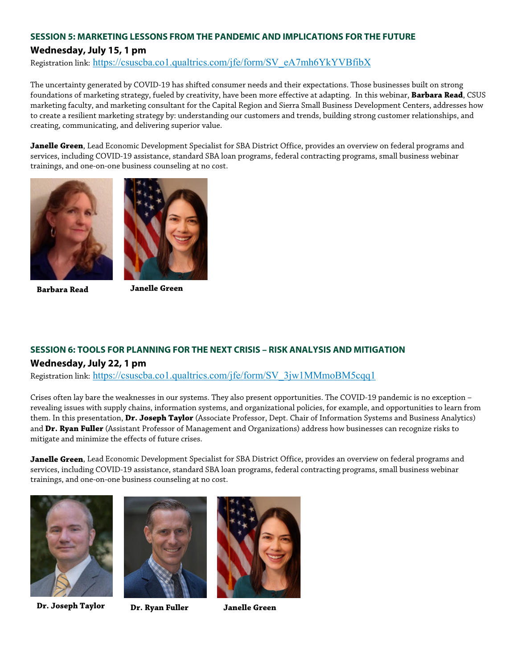## **SESSION 5: MARKETING LESSONS FROM THE PANDEMIC AND IMPLICATIONS FOR THE FUTURE Wednesday, July 15, 1 pm**

Registration link: [https://csuscba.co1.qualtrics.com/jfe/form/SV\\_eA7mh6YkYVBfibX](https://csuscba.co1.qualtrics.com/jfe/form/SV_eA7mh6YkYVBfibX)

The uncertainty generated by COVID-19 has shifted consumer needs and their expectations. Those businesses built on strong foundations of marketing strategy, fueled by creativity, have been more effective at adapting. In this webinar, **Barbara Read**, CSUS marketing faculty, and marketing consultant for the Capital Region and Sierra Small Business Development Centers, addresses how to create a resilient marketing strategy by: understanding our customers and trends, building strong customer relationships, and creating, communicating, and delivering superior value.

**Janelle Green**, Lead Economic Development Specialist for SBA District Office, provides an overview on federal programs and services, including COVID-19 assistance, standard SBA loan programs, federal contracting programs, small business webinar trainings, and one-on-one business counseling at no cost.





**Barbara Read Janelle Green**

## **SESSION 6: TOOLS FOR PLANNING FOR THE NEXT CRISIS – RISK ANALYSIS AND MITIGATION Wednesday, July 22, 1 pm**

Registration link: [https://csuscba.co1.qualtrics.com/jfe/form/SV\\_3jw1MMmoBM5cqq1](https://csuscba.co1.qualtrics.com/jfe/form/SV_3jw1MMmoBM5cqq1)

Crises often lay bare the weaknesses in our systems. They also present opportunities. The COVID-19 pandemic is no exception – revealing issues with supply chains, information systems, and organizational policies, for example, and opportunities to learn from them. In this presentation, **Dr. Joseph Taylor** (Associate Professor, Dept. Chair of Information Systems and Business Analytics) and **Dr. Ryan Fuller** (Assistant Professor of Management and Organizations) address how businesses can recognize risks to mitigate and minimize the effects of future crises.

**Janelle Green**, Lead Economic Development Specialist for SBA District Office, provides an overview on federal programs and services, including COVID-19 assistance, standard SBA loan programs, federal contracting programs, small business webinar trainings, and one-on-one business counseling at no cost.



**Dr. Joseph Taylor Dr. Ryan Fuller Janelle Green**